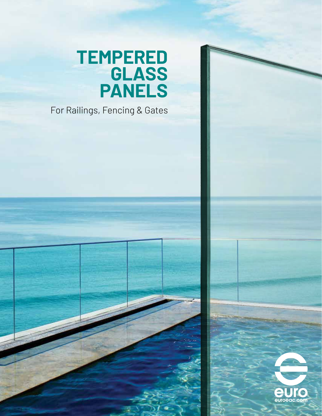## **TEMPERED GLASS PANELS**

For Railings, Fencing & Gates



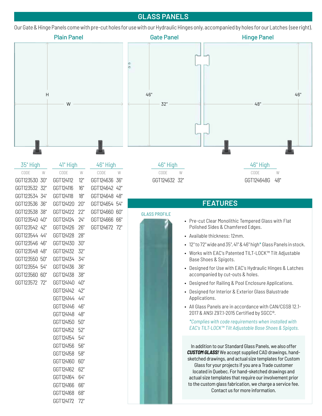## **GLASS PANELS**

Our Gate & Hinge Panels come with pre-cut holes for use with our Hydraulic Hinges only, accompanied by holes for our Latches (see right).

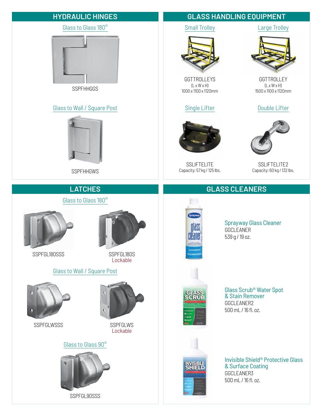